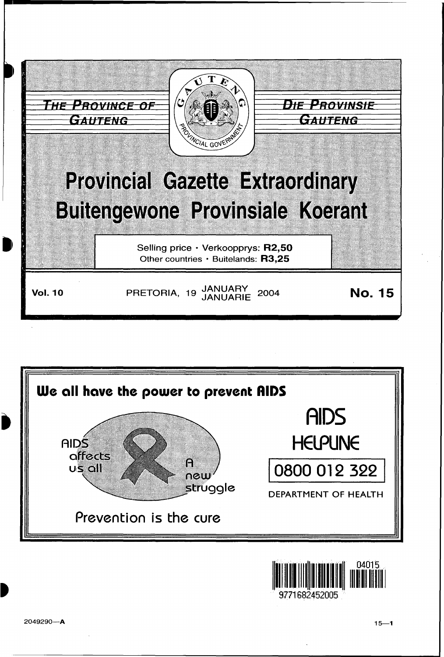





9771682452005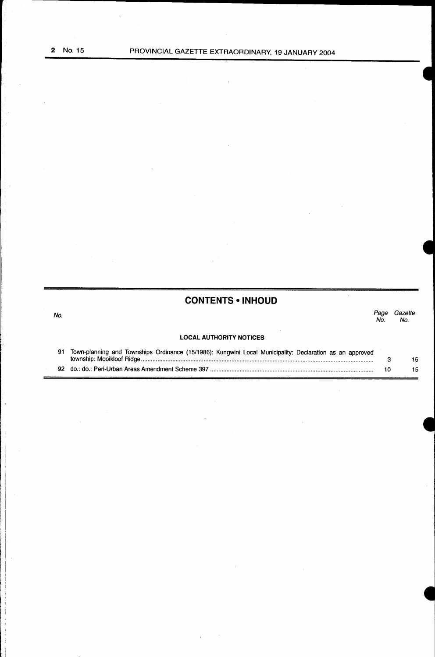j

# **CONTENTS • INHOUD**

No. Page Gazette Page Gazette<br>No. No.

# **LOCAL AUTHORITY NOTICES**

| 91 Town-planning and Townships Ordinance (15/1986): Kungwini Local Municipality: Declaration as an approved |     |
|-------------------------------------------------------------------------------------------------------------|-----|
|                                                                                                             |     |
|                                                                                                             | 15. |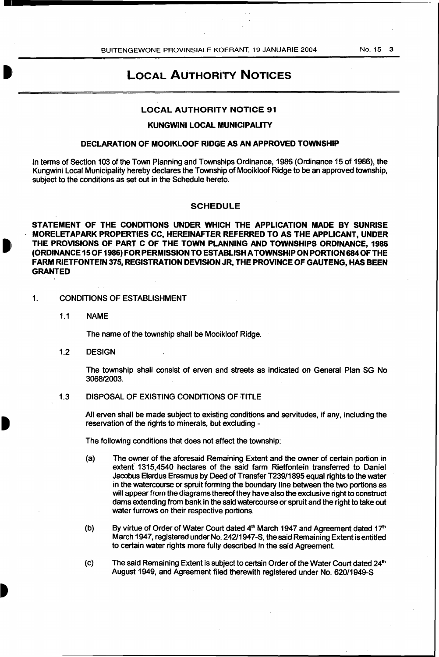# LOCAL AUTHORiTY NOTICES

# LOCAL AUTHORITY NOTICE 91

#### KUNGWINI LOCAL MUNICIPALITY

### DECLARATION OF MOOIKLOOF RIDGE AS AN APPROVED TOWNSHIP

In terms of Section 103 of the Town Planning and Townships Ordinance, 1986 (Ordinance 15 of 1986), the Kungwini Local Municipality hereby declares the Township of Mooikloof Ridge to be an approved township, subject to the conditions as set out in the Schedule hereto.

#### **SCHEDULE**

STATEMENT OF THE CONDITIONS UNDER WHICH THE APPLICATION MADE BY SUNRISE MORELETAPARK PROPERTIES CC, HEREINAFTER REFERRED TO AS THE APPLICANT, UNDER THE PROVISIONS OF PART C OF THE TOWN PLANNING AND TOWNSHIPS ORDINANCE, 1986 (ORDINANCE 15 OF 1986) FOR PERMISSION TO ESTABLISH A TOWNSHIP ON PORTION 684 OF THE FARM RIETFONTEIN 375, REGISTRATION DEVISION JR, THE PROVINCE OF GAUTENG, HAS BEEN GRANTED

- 1. CONDITIONS OF ESTABLISHMENT
	- 1.1 NAME

The name of the township shall be Mooikloof Ridge.

1.2 DESIGN

The township shall consist of erven and streets as indicated on General Plan SG No 3068/2003.

1.3 DISPOSAL OF EXISTING CONDITIONS OF TITLE

All erven shall be made subject to existing conditions and servitudes, if any, including the reservation of the rights to minerals, but excluding -

The following conditions that does not affect the township:

- (a) The owner of the aforesaid Remaining Extent and the owner of certain portion in extent 1315,4540 hectares of the said farm Rietfontein transferred to Daniel Jacobus Elardus Erasmus by Deed of Transfer T239/1895 equal rights to the water in the watercourse or spruit forming the boundary line between the two portions as will appear from the diagrams thereof they have also the exclusive right to construct dams extending from bank in the said watercourse or spruit and the right to take out water furrows on their respective portions.
- (b) By virtue of Order of Water Court dated  $4<sup>th</sup>$  March 1947 and Agreement dated 17<sup>th</sup> March 1947, registered under No. 242/1947 -S, the said Remaining Extent is entitled to certain water rights more fully described in the said Agreement.
- (c) The said Remaining Extent is subject to certain Order of the Water Court dated 24<sup>th</sup> August 1949, and Agreement filed therewith registered under No. 620/1949-S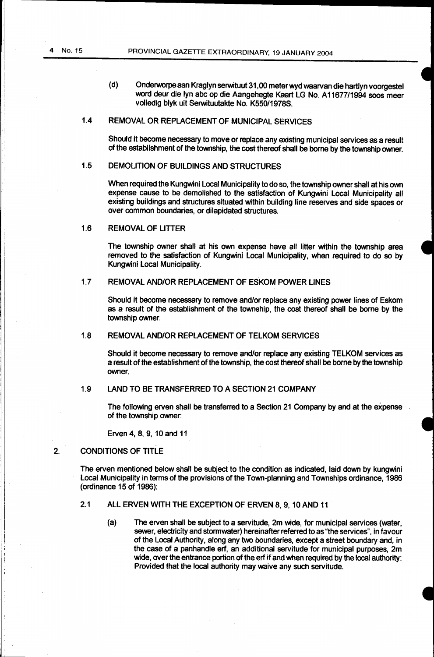(d) Onderworpe aan Kraglyn serwituut 31,00 meterwyd waarvan die hartlyn voorgestel word deur die lyn abc op die Aangehegte Kaart LG No. A11677/1994 soos meer volledig blyk uit Serwituutakte No. K550/1978S.

# 1.4 REMOVAL OR REPLACEMENT OF MUNICIPAL SERVICES

Should it become necessary to move or replace any existing municipal services as a result of the establishment of the township, the cost thereof shall be borne by the township owner.

# 1.5 DEMOLITION OF BUILDINGS AND STRUCTURES

When required the Kungwini Local Municipality to do so, the township owner shall at his own expense cause to be demolished to the satisfaction of Kungwini Local Municipality all existing buildings and structures situated within building line reserves and side spaces or over common boundaries, or dilapidated structures.

1.6 REMOVAL OF LITTER

The township owner shall at his own expense have all litter within the township area removed to the satisfaction of Kungwini Local Municipality, when required to do so by Kungwini Local Municipality.

#### 1.7 REMOVAL AND/OR REPLACEMENT OF ESKOM POWER LINES

Should it become necessary to remove and/or replace any existing power lines of Eskom as a result of the establishment of the township, the cost thereof shall be borne by the township owner.

#### 1.8 REMOVAL AND/OR REPLACEMENT OF TELKOM SERVICES

Should it become necessary to remove and/or replace any existing TELKOM services as a result of the establishment of the township, the cost thereof shall be borne by the township owner.

# 1.9 LAND TO BE TRANSFERRED TO A SECTION 21 COMPANY

The following erven shall be transferred to a Section 21 Company by and at the expense of the township owner:

Erven 4, 8, 9, 10 and 11

# 2. CONDITIONS OF TITLE

The erven mentioned below shall be subject to the condition as indicated, laid down by kungwini Local Municipality in terms of the provisions of the Town-planning and Townships ordinance, 1986 (ordinance 15 of 1986):

# 2.1 ALL ERVEN WITH THE EXCEPTION OF ERVEN 8, 9, 10 AND 11

(a) The erven shall be subject to a servitude, 2m wide, for municipal services (water, sewer, electricity and stormwater) hereinafter referred to as "the services", in favour of the Local Authority, along any two boundaries, except a street boundary and, in the case of a panhandle erf, an additional servitude for municipal purposes, 2m wide, over the entrance portion of the erf if and when required by the local authority: Provided that the local authority may waive any such servitude.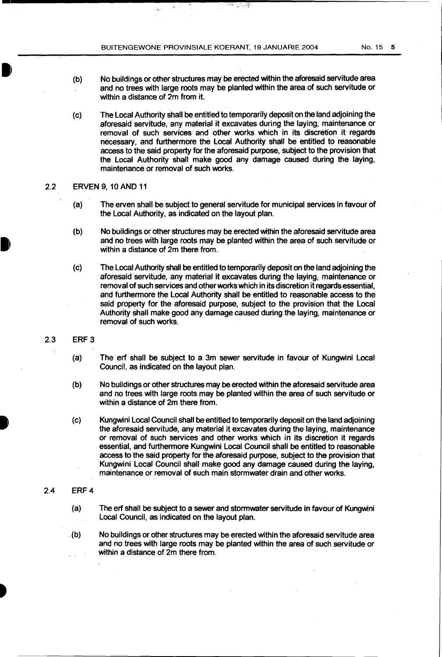$\epsilon_{\rm r}$ 

 $\begin{pmatrix} 1 \\ 0 \end{pmatrix}$ No buildings or other structures may be erected within the aforesaid servitude area and no trees with large roots may be planted within the area of such servitude or within a distance of 2m from it.

ਾ ਵਿਚੋਂ

(c) The Local Authority shall be entitled to temporarily deposit on the land adjoining the aforesaid servitude, any material it excavates during the laying, maintenance or removal of such services and other works which in its discretion it regards necessary, and furthermore the Local Authority shall be entitled to reasonable access to the said property for the aforesaid purpose, subject to the provision that the Local Authority shall make good any damage caused during the laying, maintenance or removal of such works.

### 2.2 ERVEN 9, 10 AND 11

- (a) The erven shall be subject to general servitude for municipal services in favour of the Local Authority, as indicated on the layout plan.
- (b) No buildings or other structures may be erected within the aforesaid servitude area and no trees with large roots may be planted within the area of such servitude or within a distance of 2m there from.
- (c) The Local Authority shall be entitled to temporarily deposit on the land adjoining the aforesaid servitude, any material it excavates during the laying, maintenance or removal of such services and other works which in its discretion it regards essential, and furthermore the Local Authority shall be entitled to reasonable access to the said property for the aforesaid purpose, subject to the provision that the Local Authority shall make good any damage caused during the laying, maintenance or removal of such works.
- 2.3 ERF 3
	- (a) The erf shall be subject to a 3m sewer servitude in favour of Kungwini Local Council, as indicated on the layout plan.
	- (b) No buildings or other structures may be erected within the aforesaid servitude area and no trees with large roots may be planted within the area of such servitude or within a distance of 2m there from.
	- (c) Kungwini Local Council shall be entitled to temporarily deposit on the land adjoining the aforesaid servitude, any material it excavates during the laying, maintenance or removal of such services and other works which in its discretion it regards essential, and furthermore Kungwini Local Council shall be entitled to reasonable access to the said property for the aforesaid purpose, subject to the provision that Kungwini Local Council shall make good any damage caused during the laying, maintenance or removal of such main stormwater drain and other works.

# 2.4 ERF 4

- (a) The erf shall be subject to a sewer and stormwater servitude in favour of Kungwini Local Council, as indicated on the layout plan.
- . (b) No buildings or other structures may be erected within the aforesaid servitude area and no trees with large roots may be planted within the area of such servitude or within a distance of 2m there from.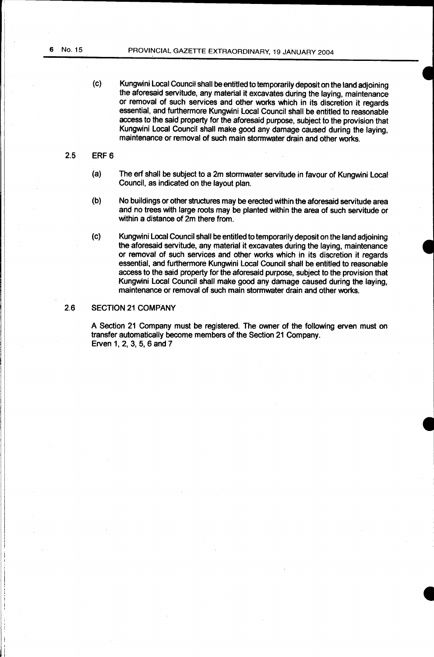(c) Kungwini Local Council shall be entitled to temporarily deposit on the land adjoining the aforesaid servitude, any material it excavates during the laying, maintenance or removal of such services and other works which in its discretion it regards essential, and furthermore Kungwini Local Council shall be entitled to reasonable access to the said property for the aforesaid purpose, subject to the provision that Kungwini Local Council shall make good any damage caused during the laying, maintenance or removal of such main stormwater drain and other works.

# 2.5 ERF 6

- (a) The erf shall be subject to a 2m stormwater servitude in favour of Kungwini Local Council, as indicated on the layout plan.
- (b) No buildings or other structures may be erected within the aforesaid servitude area and no trees with large roots may be planted within the area of such servitude or within a distance of 2m there from.
- (c) Kungwini Local Council shall be entitled to temporarily deposit on the land adjoining the aforesaid servitude, any material it excavates during the laying, maintenance or removal of such services and other works which in its discretion it regards essential, and furthermore Kungwini Local Council shall be entitled to reasonable access to the said property for the aforesaid purpose, subject to the provision that Kungwini Local Council shall make good any damage caused during the laying, maintenance or removal of such main stormwater drain and other works.

# 2.6 SECTION 21 COMPANY

A Section 21 Company must be registered. The owner of the following erven must on transfer automatically become members of the Section 21 Company. Erven 1, 2, 3, 5, 6 and 7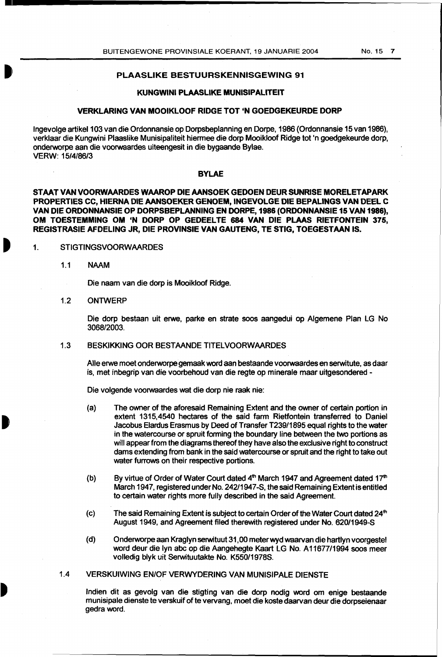#### PLAASLIKE BESTUURSKENNISGEWING 91

#### KUNGWINI PLAASLIKE MUNISIPALITEIT

#### VERKLARING VAN MOOIKLOOF RIDGE TOT 'N GOEDGEKEURDE DORP

Ingevolge artikel 103 van die Ordonnansie op Dorpsbeplanning en Dorpe, 1986 (Ordonnansie 15 van 1986), verklaar die Kungwini Plaaslike Munisipaliteit hiermee die dorp Mooikloof Ridge tot 'n goedgekeurde dorp, onderworpe aan die voorwaardes uiteengesit in die bygaande Bylae. VERW: 15/4/86/3

#### BYLAE

STAAT VAN VOORWAARDES WAAROP DIE AANSOEK GEDOEN DEUR SUNRISE MORELETAPARK PROPERTIES CC, HIERNA DIE AANSOEKER GENOEM, INGEVOLGE DIE BEPALINGS VAN DEEL C VAN DIE ORDONNANSIE OP DORPSBEPLANNING EN DORPE, 1986 (ORDONNANSIE 15 VAN 1986), OM TOESTEMMING OM 'N DORP OP GEDEELTE 684 VAN DIE PLAAS RIETFONTEIN 375, REGISTRASIE AFDELING JR, DIE PROVINSIE VAN GAUTENG, TE STIG, TOEGESTAAN IS.

#### 1. STIGTINGSVOORWAARDES

- 1.1 NAAM
	- Die naam van die dorp is Mooikloof Ridge.
- 1.2 ONTWERP

Die dorp bestaan uit erwe, parke en strate soos aangedui op Algemene Plan LG No 3068/2003.

#### 1.3 BESKIKKING OOR BESTAANDE TITELVOORWAARDES

Aile erwe meet onderworpe gemaak word aan bestaande voorwaardes en serwitute, as daar is, met inbegrip van die voorbehoud van die regte op minerale maar uitgesondered -

Die volgende voorwaardes wat die dorp nie raak nie:

- (a) The owner of the aforesaid Remaining Extent and the owner of certain portion in extent 1315,4540 hectares of the said farm Rietfontein transferred to Daniel Jacobus Elardus Erasmus by Deed of Transfer T239/1895 equal rights to the water in the watercourse or spruit forming the boundary line between the two portions as will appear from the diagrams thereof they have also the exclusive right to construct dams extending from bank in the said watercourse or spruit and the right to take out water furrows on their respective portions.
- (b) By virtue of Order of Water Court dated  $4<sup>th</sup>$  March 1947 and Agreement dated 17<sup>th</sup> March 1947, registered under No. 242/1947-S, the said Remaining Extent is entitled to certain water rights more fully described in the said Agreement.
- (c) The said Remaining Extent is subject to certain Order of the Water Court dated  $24<sup>th</sup>$ August 1949, and Agreement filed therewith registered under No. 620/1949-S
- (d) Onderworpe aan Kraglyn serwituut 31,00 meterwyd waarvan die hartlyn voorgestel word deur die lyn abc op die Aangehegte Kaart LG No. A 11677/1994 soos meer volledig blyk uit Serwituutakte No. K550/1978S.
- 1.4 VERSKUIWING EN/OF VERWYDERING VAN MUNISIPALE DIENSTE

lndien dit as gevolg van die stigting van die dorp nodig word om enige bestaande munisipale dienste te verskuif of te vervang, meet die koste daarvan deur die dorpseienaar gedraword.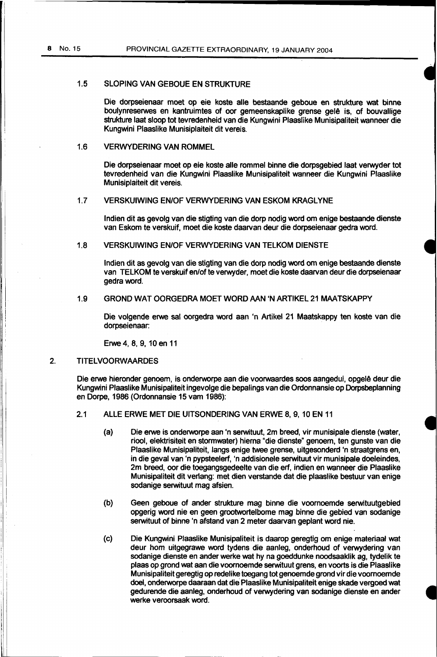#### 1.5 SLOPING VAN GEBOUE EN STRUKTURE

Die dorpseienaar moet op eie koste aile bestaande geboue en strukture wat binne boulynreserwes en kantruimtes of oor gemeenskaplike grense gelê is, of bouvallige strukture laat sloop tot tevredenheid van die Kungwini Plaaslike Munisipaliteit wanneer die Kungwini Plaaslike Munisiplaiteit dit vereis.

# 1.6 VERWYDERING VAN ROMMEL

Die dorpseienaar moet op eie koste aile rommel binne die dorpsgebied laat verwyder tot tevredenheid van die Kungwini Plaaslike Munisipaliteit wanneer die Kungwini Plaaslike Munisiplaiteit dit vereis.

# 1.7 VERSKUIWING EN/OF VERWYDERING VAN ESKOM KRAGLYNE

lndien dit as gevolg van die stigting van die dorp nodig word om enige bestaande dienste van Eskom te verskuif, moet die koste daarvan deur die dorpseienaar gedra word.

#### 1.8 VERSKUIWING EN/OF VERWYDERING VAN TELKOM DIENSTE

lndien dit as gevolg van die stigting van die dorp nodig word om enige bestaande dienste van TELKOM te verskuif en/of te verwyder, moet die koste daarvan deur die dorpseienaar gedra word.

#### 1.9 GROND WAT OORGEDRA MOET WORD AAN 'N ARTIKEL 21 MAATSKAPPY

Die volgende erwe sal oorgedra word aan 'n Artikel 21 Maatskappy ten koste van die dorpseienaar:

Erwe 4, 8, 9, 10 en 11

# 2. TITELVOORWAARDES

 $\parallel$  :

Die erwe hieronder genoem, is onderworpe aan die voorwaardes soos aangedui, opgelê deur die Kungwini Plaaslike Munisipaliteit ingevolge die bepalings van die Ordonnansie op Dorpsbeplanning en Dorpe, 1986 (Ordonnansie 15 vam 1986):

- 2.1 ALLE ERWE MET DIE UITSONDERING VAN ERWE 8, 9, 10 EN 11
	- (a) Die erwe is onderworpe aan 'n serwituut, 2m breed, vir munisipale dienste (water, riool, elektrisiteit en stormwater) hiema "die dienste" genoem, ten gunste van die Plaaslike Munisipaliteit, langs enige twee grense, uitgesonderd 'n straatgrens en, in die geval van 'n pypsteelerf, 'n addisionele serwituut vir munisipale doeleindes, 2m breed, oar die toegangsgedeelte van die erf, indien en wanneer die Plaaslike Munisipaliteit dit verlang: met dien verstande dat die plaaslike bestuur van enige sodanige serwituut mag afsien.
	- (b) Geen geboue of ander strukture mag binne die voomoemde serwituutgebied opgerig word nie en geen grootwortelbome mag binne die gebied van sodanige serwituut of binne 'n afstand van 2 meter daarvan geplant word nie.
	- (c) Die Kungwini Plaaslike Munisipaliteit is daarop geregtig om enige materiaal wat deur hom uitgegrawe word tydens die aanleg, onderhoud of verwydering van sodanige dienste en ander werke wat hy na goeddunke noodsaaklik ag, tydelik te plaas op grand wat aan die voomoemde serwituut grens, en voorts is die Plaaslike Munisipaliteit geregtig op redelike toegang tot genoemde grand vir die voomoemde doel, onderworpe daaraan dat die Plaaslike Munisipaliteit enige skade vergoed wat gedurende die aanleg, onderhoud of verwydering van sodanige dienste en ander werke veroorsaak word.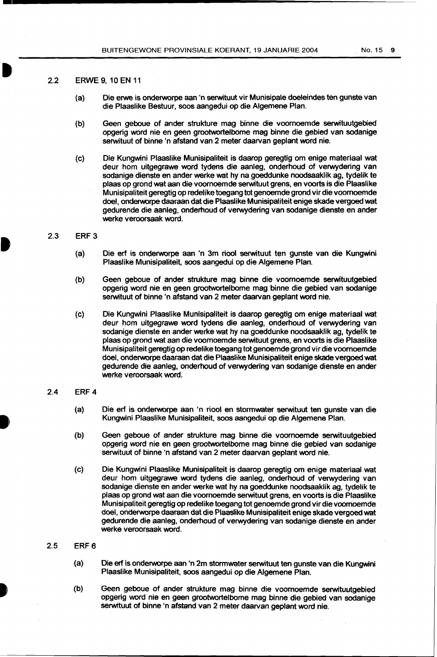## 2.2 ERWE 9, 10 EN 11

- (a) Die erwe is onderworpe aan 'n serwituut vir Munisipale doeleindes ten gunste van die Plaaslike Bestuur, soos aangedui op die Algemene Plan.
- (b) Geen geboue of ander strukture mag binne die voomoemde serwituutgebied opgerig word nie en geen grootwortelbome mag binne die gebied van sodanige serwituut of binne 'n afstand van 2 meter daarvan geplant word nie.
- (c) Die Kungwini Plaaslike Munisipaliteit is daarop geregtig om enige materiaal wat deur hom uitgegrawe word tydens die aanleg, onderhoud of verwydering van sodanige dienste en ander werke wat hy na goeddunke noodsaaklik ag, tydelik te plaas op grond wat aan die voomoemde serwituut grens, en voorts is die Plaaslike Munisipaliteit geregtig op redelike toegang tot genoemde grond vir die voomoemde doel, onderworpe daaraan dat die Plaaslike Munisipaliteit enige skade vergoed wat gedurende die aanleg, onderhoud of verwydering van sodanige dienste en ander werke veroorsaak word.

#### 2.3 ERF 3

- (a) Die erf is onderworpe aan 'n 3m riool serwituut ten gunste van die Kungwini Plaaslike Munisipaliteit, soos aangedui op die Algemene Plan.
- (b) Geen geboue of ander strukture mag binne die voomoemde serwituutgebied opgerig word nie en geen grootwortelbome mag binne die gebied van sodanige serwituut of binne 'n afstand van 2 meter daarvan geplant word nie.
- (c) Die Kungwini Plaaslike Munisipaliteit is daarop geregtig om enige materiaal wat deur hom uitgegrawe word tydens die aanleg, onderhoud of verwydering van sodanige dienste en ander werke wat hy na goeddunke noodsaaklik ag, tydelik te plaas op grond wat aan die voomoemde serwituut grens, en voorts is die Plaaslike Munisipaliteit geregtig op redelike toegang tot genoemde grond vir die voomoemde doel, onderworpe daaraan dat die Plaaslike Munisipaliteit enige skade vergoed wat gedurende die aanleg, onderhoud of verwydering van sodanige dienste en ander werke veroorsaak word.

#### 2.4 ERF 4

- (a) Die erf is onderworpe aan 'n riool en stormwater serwituut ten gunste van die Kungwini Plaaslike Munisipaliteit, soos aangedui op die Algemene Plan.
- (b) Geen geboue of ander strukture mag binne die voomoemde serwituutgebied opgerig word nie en geen grootwortelbome mag binne die gebied van sodanige serwituut of binne 'n afstand van 2 meter daarvan geplant word nie.
- (c) Die Kungwini Plaaslike Munisipaliteit is daarop geregtig om enige materiaal wat deur hom uitgegrawe word tydens die aanleg, onderhoud of verwydering van sodanige dienste en ander werke wat hy na goeddunke noodsaaklik ag, tydelik te plaas op grond wat aan die voomoemde serwituut grens, en voorts is die Plaaslike Munisipaliteit geregtig op redelike toegang tot genoemde grond vir die voomoemde doel, onderworpe daaraan dat die Plaaslike Munisipaliteit enige skade vergoed wat gedurende die aanleg, onderhoud of verwydering van sodanige dienste en ander werke veroorsaak word.

#### 2.5 ERF 6

- (a) Die erf is onderworpe aan 'n 2m stormwater serwituut ten gunste van die Kungwini Plaaslike Munisipaliteit, soos aangedui op die Algemene Plan.
- (b) Geen geboue of ander strukture mag binne die voornoemde serwituutgebied opgerig word nie en geen grootwortelbome mag binne die gebied van sodanige serwituut of binne 'n afstand van 2 meter daarvan geplant word nie.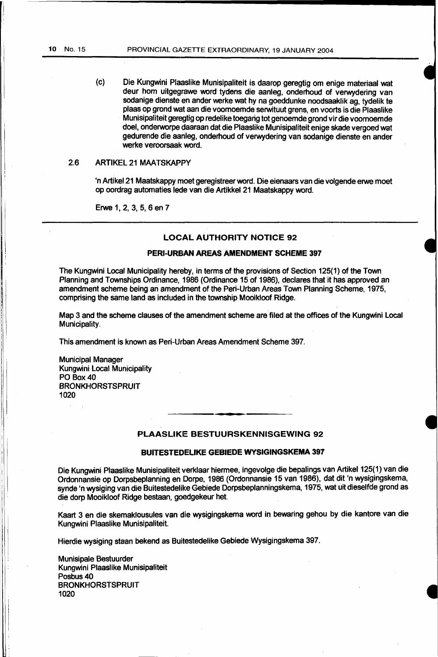(c) Die Kungwini Plaaslike Munisipaliteit is daarop geregtig om enige materiaal wat deur hom uitgegrawe vvord tydens die aanleg, onderhoud of verwydering van sodanige dienste en ander werke wat hy na goeddunke noodsaaklik ag, tydelik te plaas op grond wat aan die voomoemde serwituut grens, en voorts is die Plaaslike Munisipaliteit geregtig op redelike toegang tot genoemde grond vir die voornoemde doel, ondervvorpe daaraan dat die Plaaslike Munisipaliteit enige skade vergoed wat gedurende die aanleg, onderhoud of verwydering van sodanige dienste en ander werke veroorsaak word.

#### 2.6 ARTIKEL 21 MAATSKAPPY

'n Artikel21 Maatskappy meet geregistreer vvord. Die eienaars van die volgende erwe meet op oordrag automaties lede van die Artikkel 21 Maatskappy vvord.

Erwe 1, 2, 3, 5, 6 en 7

# LOCAL AUTHORITY NOTICE 92

# PERI-URBAN AREAS AMENDMENT SCHEME 397

The Kungwini Local Municipality hereby, in terms of the provisions of Section 125(1) of the Town Planning and Townships Ordinance, 1986 (Ordinance 15 of 1986), declares that it has approved an amendment scheme being an amendment of the Peri-Urban Areas Town Planning Scheme, 1975, comprising the same land as included in the township Mooikloof Ridge.

Map 3 and the scheme clauses of the amendment scheme are filed at the offices of the Kungwini Local Municipality.

This amendment is known as Peri-Urban Areas Amendment Scheme 397.

Municipal Manager Kungwini Local Municipality PO Box40 BRONKHORSTSPRUIT 1020

#### PLAASLIKE BESTUURSKENNISGEWING 92

#### BUITESTEDELIKE GEBIEDE WYSIGINGSKEMA 397

Die Kungwini Plaaslike Munisipaliteit verklaar hiermee, ingevolge die bepalings van Artikel 125( 1) van die Ordonnansie op Dorpsbeplanning en Dorpe, 1986 (Ordonnansie 15 van 1986), dat dit 'n wysigingskema, synde 'n wysiging van die Buitestedelike Gebiede Dorpsbeplanningskema, 1975, wat uit dieselfde grond as die dorp Mooikloof Ridge bestaan, goedgekeur het.

Kaart 3 en die skemaklousules van die wysigingskema word in bewaring gehou by die kantore van die Kungwini Plaaslike Munisipaliteit.

Hierdie wysiging staan bekend as Buitestedelike Gebiede Wysigingskema 397.

Munisipale Bestuurder Kungwini Plaaslike Munisipaliteit Posbus 40 **BRONKHORSTSPRUIT** 1020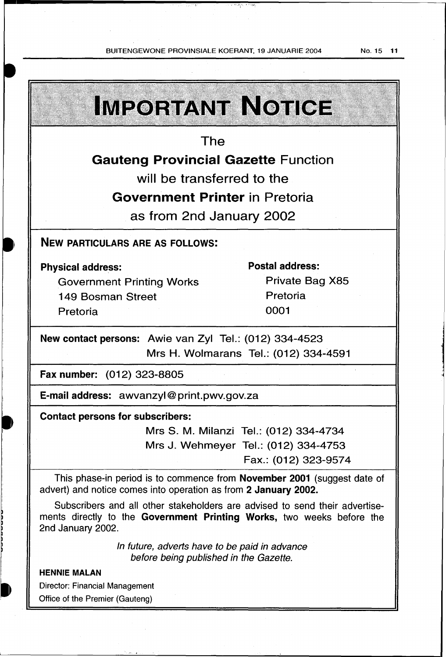BUITENGEWONE PROVINSIALE KOERANT, 19 JANUARIE 2004 No. 15 11

र करी पराष्ट्री Ŧ,

 $\bar{z}$ 

فمدرا الأقمام بالمنا

| <b>IMPORTANT NOTICE</b>                                                                                                                                                                  |                        |  |  |                                         |                                      |  |  |  |
|------------------------------------------------------------------------------------------------------------------------------------------------------------------------------------------|------------------------|--|--|-----------------------------------------|--------------------------------------|--|--|--|
| The                                                                                                                                                                                      |                        |  |  |                                         |                                      |  |  |  |
| <b>Gauteng Provincial Gazette Function</b>                                                                                                                                               |                        |  |  |                                         |                                      |  |  |  |
| will be transferred to the                                                                                                                                                               |                        |  |  |                                         |                                      |  |  |  |
| <b>Government Printer</b> in Pretoria                                                                                                                                                    |                        |  |  |                                         |                                      |  |  |  |
| as from 2nd January 2002                                                                                                                                                                 |                        |  |  |                                         |                                      |  |  |  |
| <b>NEW PARTICULARS ARE AS FOLLOWS:</b>                                                                                                                                                   |                        |  |  |                                         |                                      |  |  |  |
| <b>Physical address:</b>                                                                                                                                                                 | <b>Postal address:</b> |  |  |                                         |                                      |  |  |  |
| <b>Government Printing Works</b>                                                                                                                                                         | Private Bag X85        |  |  |                                         |                                      |  |  |  |
| 149 Bosman Street                                                                                                                                                                        | Pretoria               |  |  |                                         |                                      |  |  |  |
| Pretoria                                                                                                                                                                                 | 0001                   |  |  |                                         |                                      |  |  |  |
| New contact persons: Awie van Zyl Tel.: (012) 334-4523<br>Mrs H. Wolmarans Tel.: (012) 334-4591<br><b>Fax number:</b> (012) 323-8805<br><b>E-mail address:</b> awvanzyl@print.pwv.gov.za |                        |  |  |                                         |                                      |  |  |  |
|                                                                                                                                                                                          |                        |  |  | <b>Contact persons for subscribers:</b> |                                      |  |  |  |
|                                                                                                                                                                                          |                        |  |  | Mrs S. M. Milanzi Tel.: (012) 334-4734  |                                      |  |  |  |
|                                                                                                                                                                                          |                        |  |  |                                         | Mrs J. Wehmeyer Tel.: (012) 334-4753 |  |  |  |
|                                                                                                                                                                                          | Fax.: (012) 323-9574   |  |  |                                         |                                      |  |  |  |
| This phase-in period is to commence from <b>November 2001</b> (suggest date of<br>advert) and notice comes into operation as from 2 January 2002.                                        |                        |  |  |                                         |                                      |  |  |  |
| Subscribers and all other stakeholders are advised to send their advertise-<br>ments directly to the Government Printing Works, two weeks before the<br>2nd January 2002.                |                        |  |  |                                         |                                      |  |  |  |
| In future, adverts have to be paid in advance<br>before being published in the Gazette.                                                                                                  |                        |  |  |                                         |                                      |  |  |  |
| <b>HENNIE MALAN</b>                                                                                                                                                                      |                        |  |  |                                         |                                      |  |  |  |
| <b>Director: Financial Management</b>                                                                                                                                                    |                        |  |  |                                         |                                      |  |  |  |
| Office of the Premier (Gauteng)                                                                                                                                                          |                        |  |  |                                         |                                      |  |  |  |